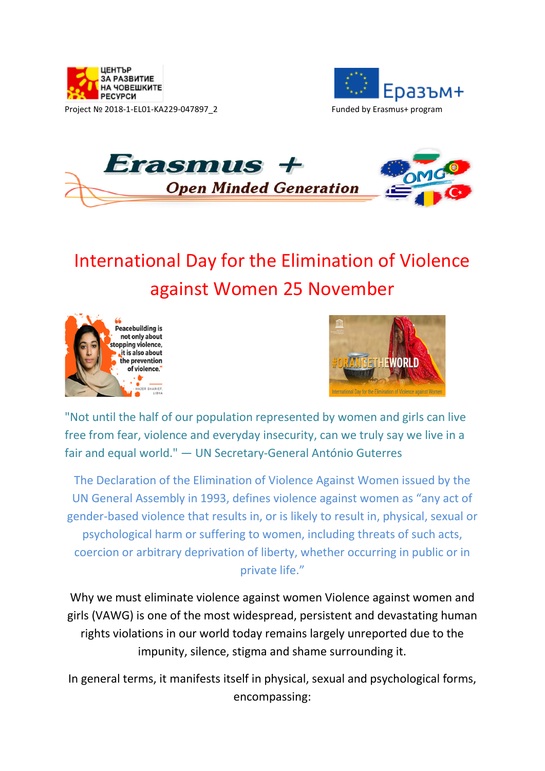





## International Day for the Elimination of Violence against Women 25 November





"Not until the half of our population represented by women and girls can live free from fear, violence and everyday insecurity, can we truly say we live in a fair and equal world." — UN Secretary-General António Guterres

The Declaration of the Elimination of Violence Against Women issued by the UN General Assembly in 1993, defines violence against women as "any act of gender-based violence that results in, or is likely to result in, physical, sexual or psychological harm or suffering to women, including threats of such acts, coercion or arbitrary deprivation of liberty, whether occurring in public or in private life."

Why we must eliminate violence against women Violence against women and girls (VAWG) is one of the most widespread, persistent and devastating human rights violations in our world today remains largely unreported due to the impunity, silence, stigma and shame surrounding it.

In general terms, it manifests itself in physical, sexual and psychological forms, encompassing: